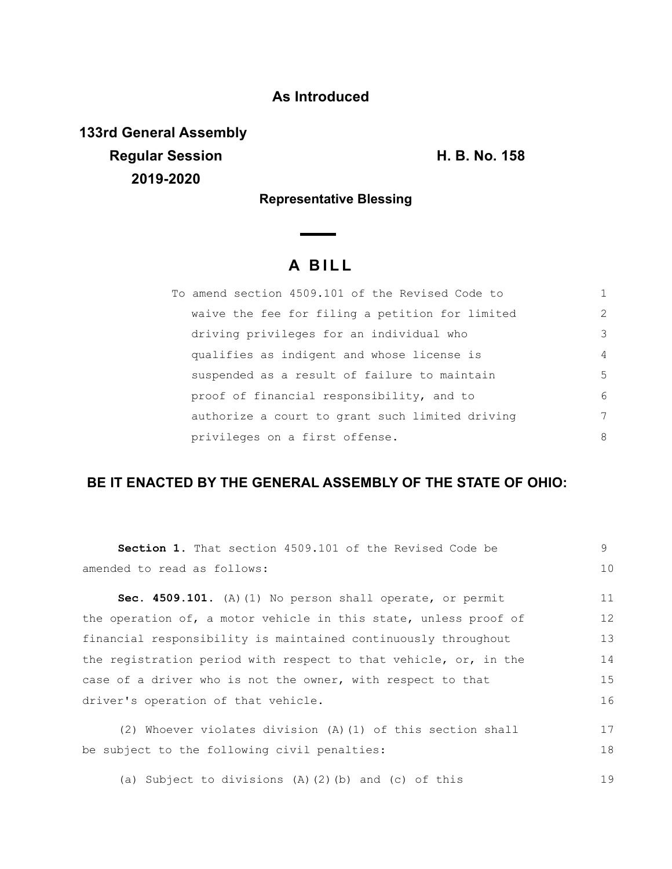## **As Introduced**

**133rd General Assembly Regular Session H. B. No. 158 2019-2020**

**Representative Blessing**

# **A B I L L**

| To amend section 4509.101 of the Revised Code to |                |
|--------------------------------------------------|----------------|
| waive the fee for filing a petition for limited  | 2              |
| driving privileges for an individual who         | 3              |
| qualifies as indigent and whose license is       | $\overline{4}$ |
| suspended as a result of failure to maintain     | 5              |
| proof of financial responsibility, and to        | 6              |
| authorize a court to grant such limited driving  | 7              |
| privileges on a first offense.                   | 8              |

### **BE IT ENACTED BY THE GENERAL ASSEMBLY OF THE STATE OF OHIO:**

| <b>Section 1.</b> That section 4509.101 of the Revised Code be   | 9  |  |
|------------------------------------------------------------------|----|--|
| amended to read as follows:                                      | 10 |  |
| <b>Sec. 4509.101.</b> (A) (1) No person shall operate, or permit | 11 |  |
| the operation of, a motor vehicle in this state, unless proof of | 12 |  |
| financial responsibility is maintained continuously throughout   | 13 |  |
| the registration period with respect to that vehicle, or, in the | 14 |  |
| case of a driver who is not the owner, with respect to that      |    |  |
| driver's operation of that vehicle.                              |    |  |
| (2) Whoever violates division (A) (1) of this section shall      | 17 |  |
| be subject to the following civil penalties:                     | 18 |  |
| (a) Subject to divisions $(A)$ $(2)$ $(b)$ and $(c)$ of this     | 19 |  |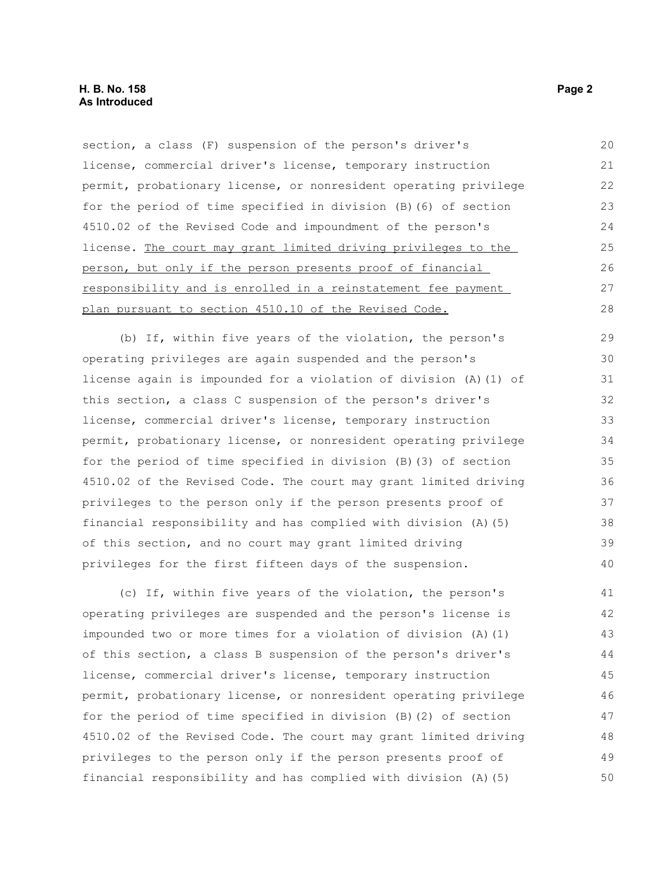section, a class (F) suspension of the person's driver's license, commercial driver's license, temporary instruction permit, probationary license, or nonresident operating privilege for the period of time specified in division (B)(6) of section 4510.02 of the Revised Code and impoundment of the person's license. The court may grant limited driving privileges to the person, but only if the person presents proof of financial responsibility and is enrolled in a reinstatement fee payment plan pursuant to section 4510.10 of the Revised Code. 20 21 22 23 24 25 26 27 28

(b) If, within five years of the violation, the person's operating privileges are again suspended and the person's license again is impounded for a violation of division (A)(1) of this section, a class C suspension of the person's driver's license, commercial driver's license, temporary instruction permit, probationary license, or nonresident operating privilege for the period of time specified in division (B)(3) of section 4510.02 of the Revised Code. The court may grant limited driving privileges to the person only if the person presents proof of financial responsibility and has complied with division (A)(5) of this section, and no court may grant limited driving privileges for the first fifteen days of the suspension. 29 30 31 32 33 34 35 36 37 38 39 40

(c) If, within five years of the violation, the person's operating privileges are suspended and the person's license is impounded two or more times for a violation of division (A)(1) of this section, a class B suspension of the person's driver's license, commercial driver's license, temporary instruction permit, probationary license, or nonresident operating privilege for the period of time specified in division (B)(2) of section 4510.02 of the Revised Code. The court may grant limited driving privileges to the person only if the person presents proof of financial responsibility and has complied with division (A)(5) 41 42 43 44 45 46 47 48 49 50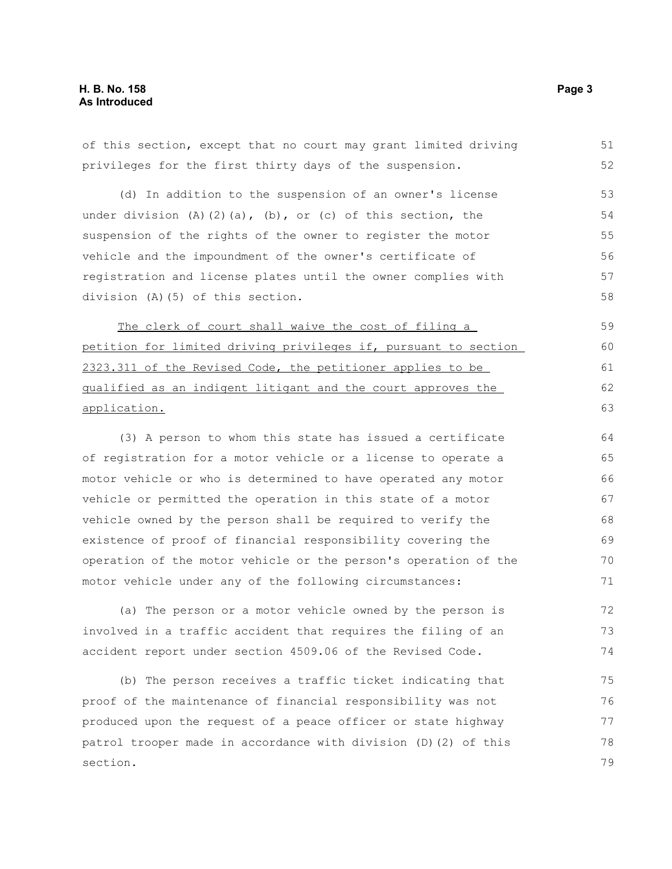of this section, except that no court may grant limited driving privileges for the first thirty days of the suspension. (d) In addition to the suspension of an owner's license under division  $(A)$   $(2)$   $(a)$ ,  $(b)$ , or  $(c)$  of this section, the suspension of the rights of the owner to register the motor vehicle and the impoundment of the owner's certificate of registration and license plates until the owner complies with division (A)(5) of this section. The clerk of court shall waive the cost of filing a petition for limited driving privileges if, pursuant to section 2323.311 of the Revised Code, the petitioner applies to be qualified as an indigent litigant and the court approves the application. (3) A person to whom this state has issued a certificate of registration for a motor vehicle or a license to operate a motor vehicle or who is determined to have operated any motor vehicle or permitted the operation in this state of a motor vehicle owned by the person shall be required to verify the existence of proof of financial responsibility covering the operation of the motor vehicle or the person's operation of the motor vehicle under any of the following circumstances: (a) The person or a motor vehicle owned by the person is involved in a traffic accident that requires the filing of an accident report under section 4509.06 of the Revised Code. (b) The person receives a traffic ticket indicating that proof of the maintenance of financial responsibility was not 51 52 53 54 55 56 57 58 59 60 61 62 63 64 65 66 67 68 69 70 71 72 73 74 75 76

produced upon the request of a peace officer or state highway patrol trooper made in accordance with division (D)(2) of this section. 77 78 79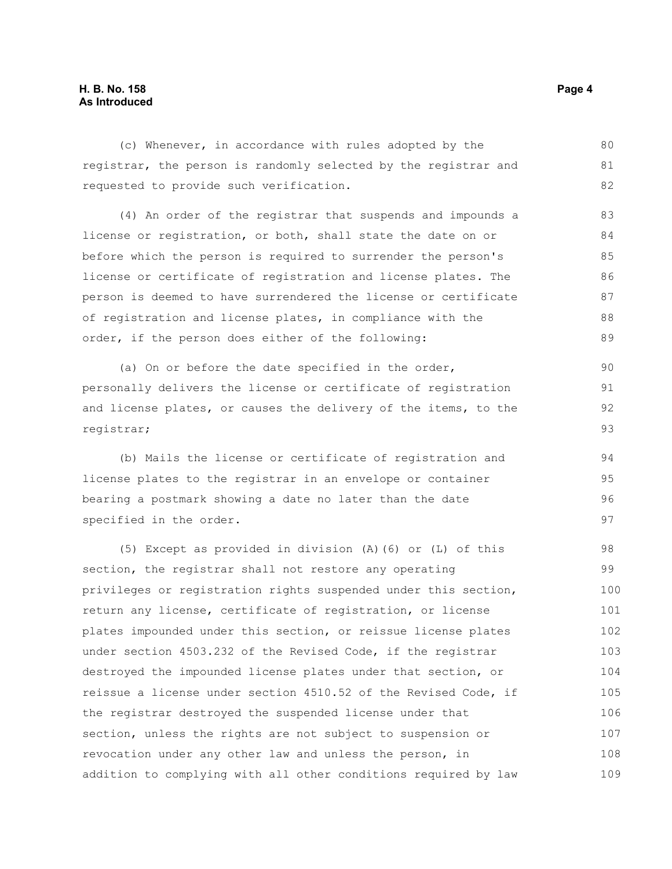#### **H. B. No. 158 Page 4 As Introduced**

(c) Whenever, in accordance with rules adopted by the registrar, the person is randomly selected by the registrar and requested to provide such verification. 80 81 82

(4) An order of the registrar that suspends and impounds a license or registration, or both, shall state the date on or before which the person is required to surrender the person's license or certificate of registration and license plates. The person is deemed to have surrendered the license or certificate of registration and license plates, in compliance with the order, if the person does either of the following: 83 84 85 86 87 88 89

(a) On or before the date specified in the order, personally delivers the license or certificate of registration and license plates, or causes the delivery of the items, to the registrar;

(b) Mails the license or certificate of registration and license plates to the registrar in an envelope or container bearing a postmark showing a date no later than the date specified in the order.

(5) Except as provided in division (A)(6) or (L) of this section, the registrar shall not restore any operating privileges or registration rights suspended under this section, return any license, certificate of registration, or license plates impounded under this section, or reissue license plates under section 4503.232 of the Revised Code, if the registrar destroyed the impounded license plates under that section, or reissue a license under section 4510.52 of the Revised Code, if the registrar destroyed the suspended license under that section, unless the rights are not subject to suspension or revocation under any other law and unless the person, in addition to complying with all other conditions required by law 98 99 100 101 102 103 104 105 106 107 108 109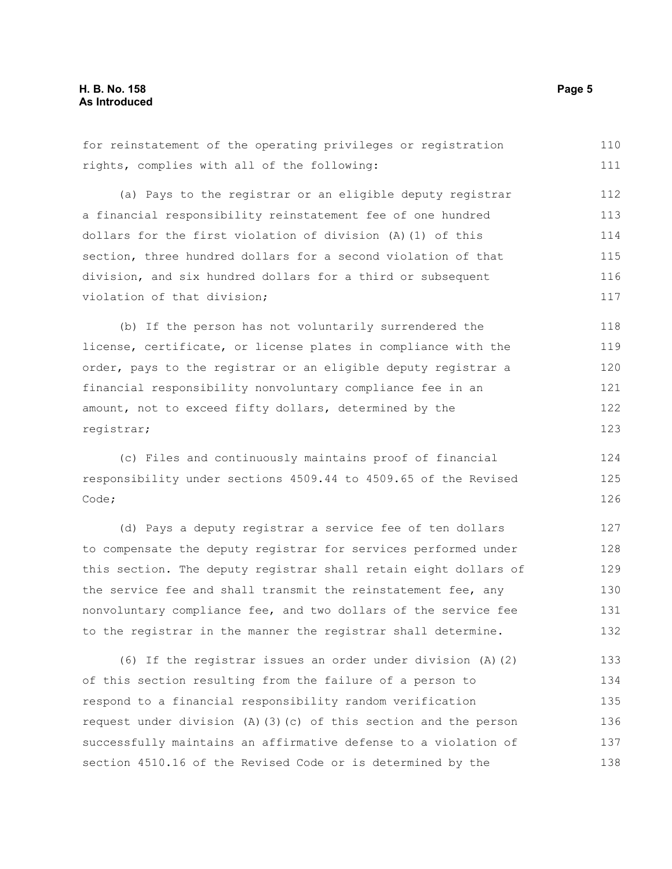for reinstatement of the operating privileges or registration rights, complies with all of the following: (a) Pays to the registrar or an eligible deputy registrar a financial responsibility reinstatement fee of one hundred dollars for the first violation of division (A)(1) of this section, three hundred dollars for a second violation of that division, and six hundred dollars for a third or subsequent violation of that division; (b) If the person has not voluntarily surrendered the license, certificate, or license plates in compliance with the order, pays to the registrar or an eligible deputy registrar a financial responsibility nonvoluntary compliance fee in an amount, not to exceed fifty dollars, determined by the registrar; (c) Files and continuously maintains proof of financial responsibility under sections 4509.44 to 4509.65 of the Revised Code; (d) Pays a deputy registrar a service fee of ten dollars to compensate the deputy registrar for services performed under this section. The deputy registrar shall retain eight dollars of the service fee and shall transmit the reinstatement fee, any nonvoluntary compliance fee, and two dollars of the service fee to the registrar in the manner the registrar shall determine. (6) If the registrar issues an order under division (A)(2) of this section resulting from the failure of a person to respond to a financial responsibility random verification request under division (A)(3)(c) of this section and the person successfully maintains an affirmative defense to a violation of section 4510.16 of the Revised Code or is determined by the 111 112 113 114 115 116 117 118 119 120 121 122 123 124 125 126 127 128 129 130 131 132 133 134 135 136 137 138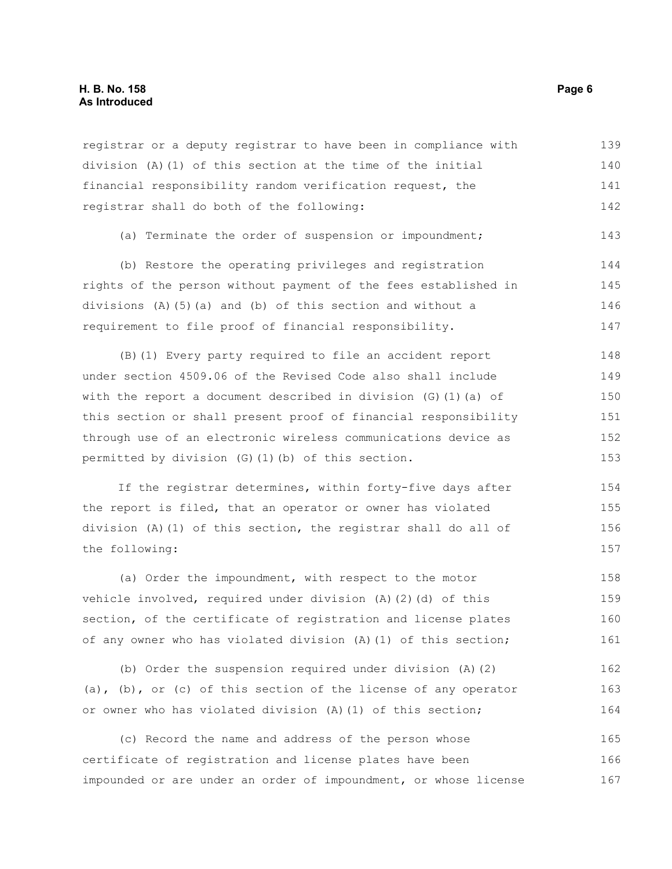#### **H. B. No. 158 Page 6 As Introduced**

registrar or a deputy registrar to have been in compliance with division (A)(1) of this section at the time of the initial financial responsibility random verification request, the registrar shall do both of the following: 139 140 141 142

(a) Terminate the order of suspension or impoundment; 143

(b) Restore the operating privileges and registration rights of the person without payment of the fees established in divisions (A)(5)(a) and (b) of this section and without a requirement to file proof of financial responsibility. 144 145 146 147

(B)(1) Every party required to file an accident report under section 4509.06 of the Revised Code also shall include with the report a document described in division  $(G)$  (1)(a) of this section or shall present proof of financial responsibility through use of an electronic wireless communications device as permitted by division (G)(1)(b) of this section. 148 149 150 151 152 153

If the registrar determines, within forty-five days after the report is filed, that an operator or owner has violated division (A)(1) of this section, the registrar shall do all of the following: 154 155 156 157

(a) Order the impoundment, with respect to the motor vehicle involved, required under division (A)(2)(d) of this section, of the certificate of registration and license plates of any owner who has violated division (A)(1) of this section; 158 159 160 161

(b) Order the suspension required under division (A)(2) (a), (b), or (c) of this section of the license of any operator or owner who has violated division (A)(1) of this section;

(c) Record the name and address of the person whose certificate of registration and license plates have been impounded or are under an order of impoundment, or whose license 165 166 167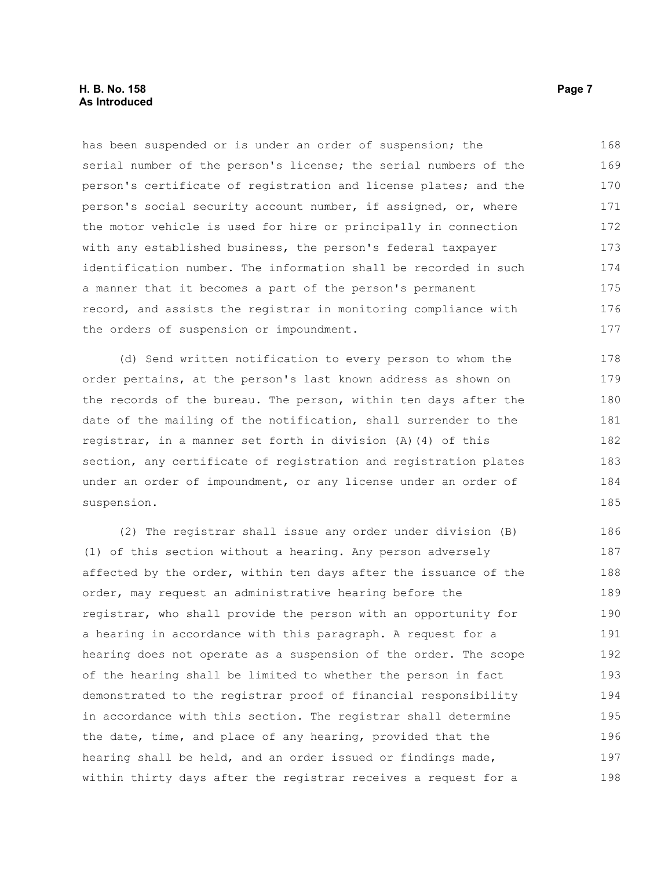#### **H. B. No. 158 Page 7 As Introduced**

has been suspended or is under an order of suspension; the serial number of the person's license; the serial numbers of the person's certificate of registration and license plates; and the person's social security account number, if assigned, or, where the motor vehicle is used for hire or principally in connection with any established business, the person's federal taxpayer identification number. The information shall be recorded in such a manner that it becomes a part of the person's permanent record, and assists the registrar in monitoring compliance with the orders of suspension or impoundment. 168 169 170 171 172 173 174 175 176 177

(d) Send written notification to every person to whom the order pertains, at the person's last known address as shown on the records of the bureau. The person, within ten days after the date of the mailing of the notification, shall surrender to the registrar, in a manner set forth in division (A)(4) of this section, any certificate of registration and registration plates under an order of impoundment, or any license under an order of suspension. 178 179 180 181 183 184 185

(2) The registrar shall issue any order under division (B) (1) of this section without a hearing. Any person adversely affected by the order, within ten days after the issuance of the order, may request an administrative hearing before the registrar, who shall provide the person with an opportunity for a hearing in accordance with this paragraph. A request for a hearing does not operate as a suspension of the order. The scope of the hearing shall be limited to whether the person in fact demonstrated to the registrar proof of financial responsibility in accordance with this section. The registrar shall determine the date, time, and place of any hearing, provided that the hearing shall be held, and an order issued or findings made, within thirty days after the registrar receives a request for a 186 187 188 189 190 191 192 193 194 195 196 197 198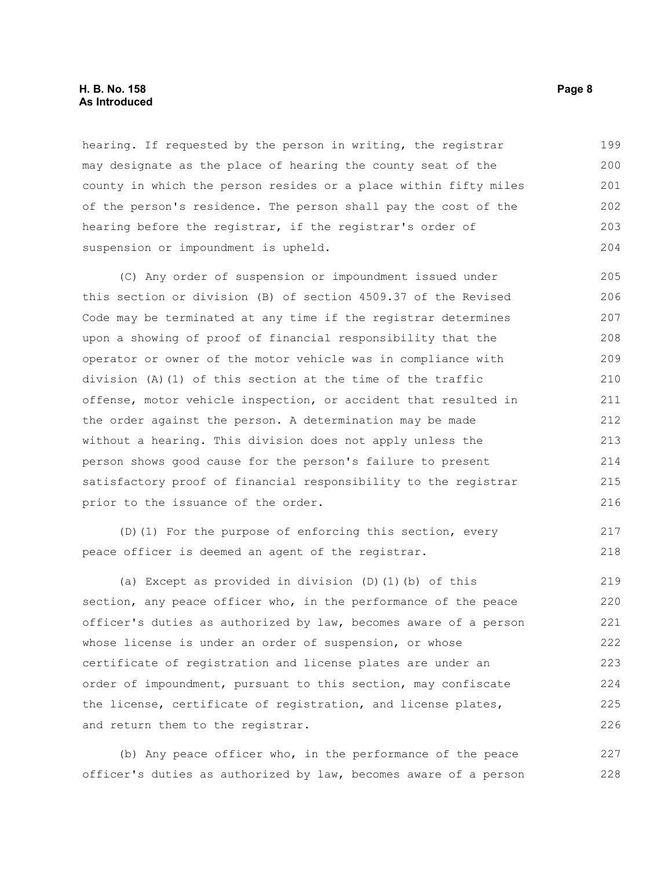#### **H. B. No. 158 Page 8 As Introduced**

hearing. If requested by the person in writing, the registrar may designate as the place of hearing the county seat of the county in which the person resides or a place within fifty miles of the person's residence. The person shall pay the cost of the hearing before the registrar, if the registrar's order of suspension or impoundment is upheld. 199 200 201 202 203 204

(C) Any order of suspension or impoundment issued under this section or division (B) of section 4509.37 of the Revised Code may be terminated at any time if the registrar determines upon a showing of proof of financial responsibility that the operator or owner of the motor vehicle was in compliance with division (A)(1) of this section at the time of the traffic offense, motor vehicle inspection, or accident that resulted in the order against the person. A determination may be made without a hearing. This division does not apply unless the person shows good cause for the person's failure to present satisfactory proof of financial responsibility to the registrar prior to the issuance of the order. 205 206 207 208 209 210 211 212 213 214 215 216

```
(D)(1) For the purpose of enforcing this section, every
peace officer is deemed an agent of the registrar. 
                                                                           217
                                                                           218
```
(a) Except as provided in division (D)(1)(b) of this section, any peace officer who, in the performance of the peace officer's duties as authorized by law, becomes aware of a person whose license is under an order of suspension, or whose certificate of registration and license plates are under an order of impoundment, pursuant to this section, may confiscate the license, certificate of registration, and license plates, and return them to the registrar. 219 220 221 222 223 224 225 226

(b) Any peace officer who, in the performance of the peace officer's duties as authorized by law, becomes aware of a person 227 228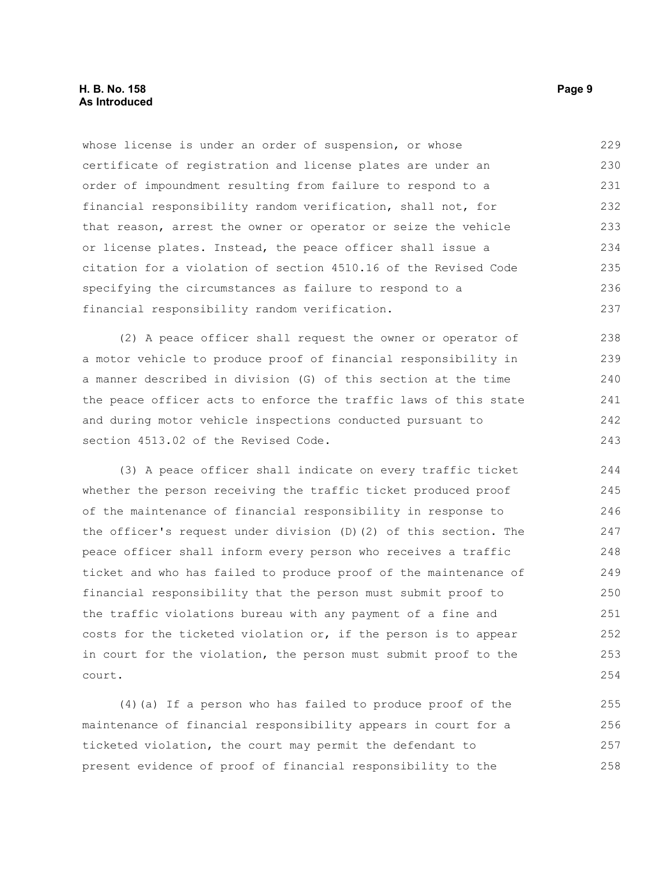whose license is under an order of suspension, or whose certificate of registration and license plates are under an order of impoundment resulting from failure to respond to a financial responsibility random verification, shall not, for that reason, arrest the owner or operator or seize the vehicle or license plates. Instead, the peace officer shall issue a citation for a violation of section 4510.16 of the Revised Code specifying the circumstances as failure to respond to a financial responsibility random verification. 229 230 231 232 233 234 235 236 237

(2) A peace officer shall request the owner or operator of a motor vehicle to produce proof of financial responsibility in a manner described in division (G) of this section at the time the peace officer acts to enforce the traffic laws of this state and during motor vehicle inspections conducted pursuant to section 4513.02 of the Revised Code. 238 239 240 241 242 243

(3) A peace officer shall indicate on every traffic ticket whether the person receiving the traffic ticket produced proof of the maintenance of financial responsibility in response to the officer's request under division (D)(2) of this section. The peace officer shall inform every person who receives a traffic ticket and who has failed to produce proof of the maintenance of financial responsibility that the person must submit proof to the traffic violations bureau with any payment of a fine and costs for the ticketed violation or, if the person is to appear in court for the violation, the person must submit proof to the court.

(4)(a) If a person who has failed to produce proof of the maintenance of financial responsibility appears in court for a ticketed violation, the court may permit the defendant to present evidence of proof of financial responsibility to the 255 256 257 258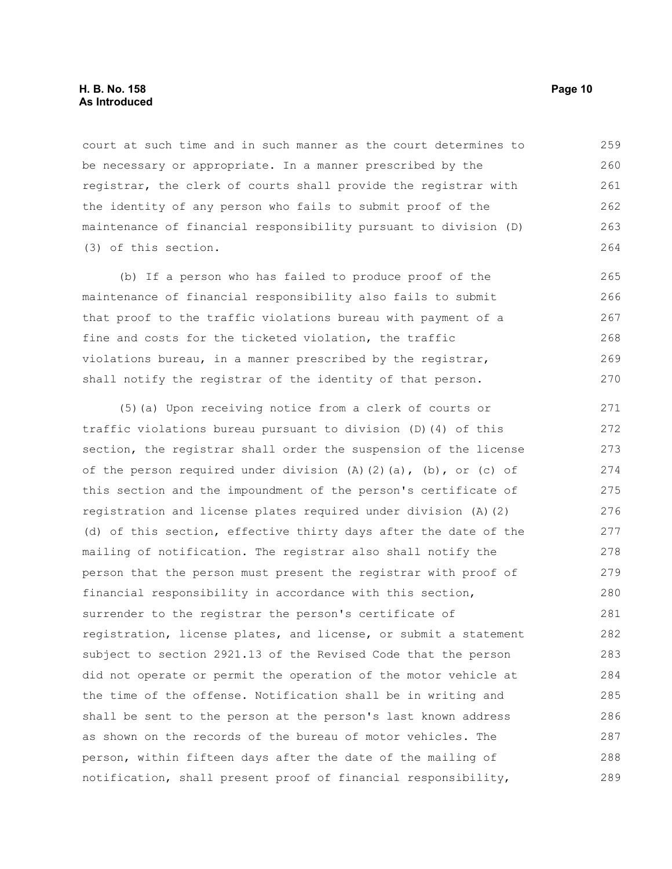court at such time and in such manner as the court determines to be necessary or appropriate. In a manner prescribed by the registrar, the clerk of courts shall provide the registrar with the identity of any person who fails to submit proof of the maintenance of financial responsibility pursuant to division (D) (3) of this section. 259 260 261 262 263 264

(b) If a person who has failed to produce proof of the maintenance of financial responsibility also fails to submit that proof to the traffic violations bureau with payment of a fine and costs for the ticketed violation, the traffic violations bureau, in a manner prescribed by the registrar, shall notify the registrar of the identity of that person. 265 266 267 268 269 270

(5)(a) Upon receiving notice from a clerk of courts or traffic violations bureau pursuant to division (D)(4) of this section, the registrar shall order the suspension of the license of the person required under division  $(A)$   $(2)$   $(a)$ ,  $(b)$ , or  $(c)$  of this section and the impoundment of the person's certificate of registration and license plates required under division (A)(2) (d) of this section, effective thirty days after the date of the mailing of notification. The registrar also shall notify the person that the person must present the registrar with proof of financial responsibility in accordance with this section, surrender to the registrar the person's certificate of registration, license plates, and license, or submit a statement subject to section 2921.13 of the Revised Code that the person did not operate or permit the operation of the motor vehicle at the time of the offense. Notification shall be in writing and shall be sent to the person at the person's last known address as shown on the records of the bureau of motor vehicles. The person, within fifteen days after the date of the mailing of notification, shall present proof of financial responsibility, 271 272 273 274 275 276 277 278 279 280 281 282 283 284 285 286 287 288 289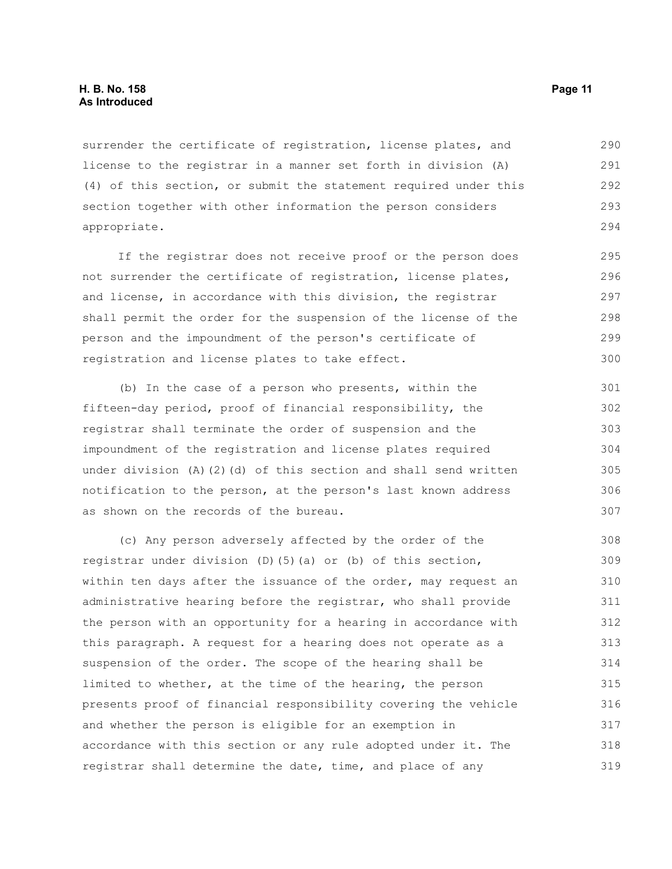surrender the certificate of registration, license plates, and license to the registrar in a manner set forth in division (A) (4) of this section, or submit the statement required under this section together with other information the person considers appropriate. 290 291 292 293 294

If the registrar does not receive proof or the person does not surrender the certificate of registration, license plates, and license, in accordance with this division, the registrar shall permit the order for the suspension of the license of the person and the impoundment of the person's certificate of registration and license plates to take effect.

(b) In the case of a person who presents, within the fifteen-day period, proof of financial responsibility, the registrar shall terminate the order of suspension and the impoundment of the registration and license plates required under division  $(A)$   $(2)$   $(d)$  of this section and shall send written notification to the person, at the person's last known address as shown on the records of the bureau. 301 302 303 304 305 306 307

(c) Any person adversely affected by the order of the registrar under division (D)(5)(a) or (b) of this section, within ten days after the issuance of the order, may request an administrative hearing before the registrar, who shall provide the person with an opportunity for a hearing in accordance with this paragraph. A request for a hearing does not operate as a suspension of the order. The scope of the hearing shall be limited to whether, at the time of the hearing, the person presents proof of financial responsibility covering the vehicle and whether the person is eligible for an exemption in accordance with this section or any rule adopted under it. The registrar shall determine the date, time, and place of any 308 309 310 311 312 313 314 315 316 317 318 319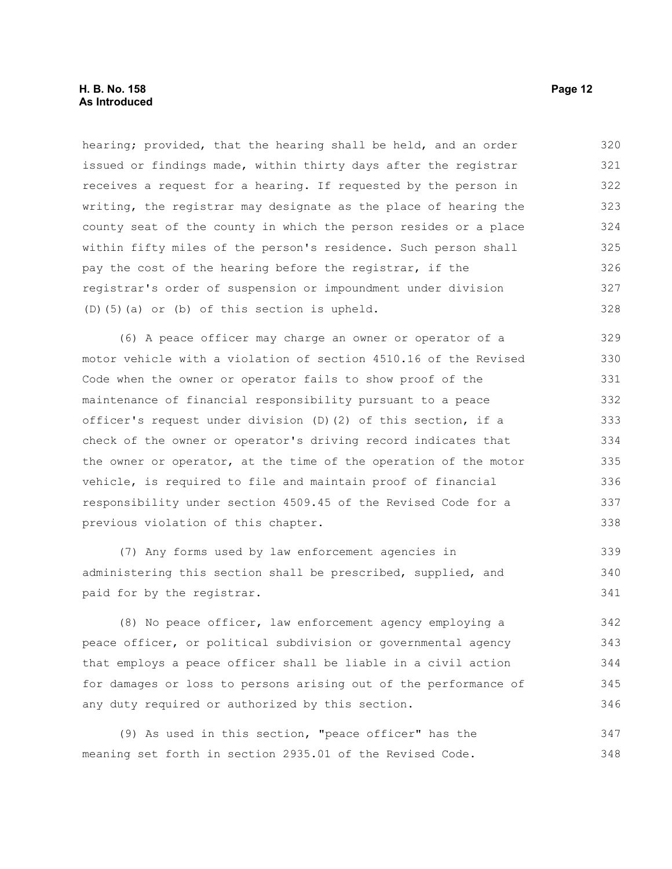hearing; provided, that the hearing shall be held, and an order issued or findings made, within thirty days after the registrar receives a request for a hearing. If requested by the person in writing, the registrar may designate as the place of hearing the county seat of the county in which the person resides or a place within fifty miles of the person's residence. Such person shall pay the cost of the hearing before the registrar, if the registrar's order of suspension or impoundment under division (D)(5)(a) or (b) of this section is upheld. 320 321 322 323 324 325 326 327 328

(6) A peace officer may charge an owner or operator of a motor vehicle with a violation of section 4510.16 of the Revised Code when the owner or operator fails to show proof of the maintenance of financial responsibility pursuant to a peace officer's request under division (D)(2) of this section, if a check of the owner or operator's driving record indicates that the owner or operator, at the time of the operation of the motor vehicle, is required to file and maintain proof of financial responsibility under section 4509.45 of the Revised Code for a previous violation of this chapter. 329 330 331 332 333 334 335 336 337 338

(7) Any forms used by law enforcement agencies in administering this section shall be prescribed, supplied, and paid for by the registrar. 339 340 341

(8) No peace officer, law enforcement agency employing a peace officer, or political subdivision or governmental agency that employs a peace officer shall be liable in a civil action for damages or loss to persons arising out of the performance of any duty required or authorized by this section. 342 343 344 345 346

(9) As used in this section, "peace officer" has the meaning set forth in section 2935.01 of the Revised Code. 347 348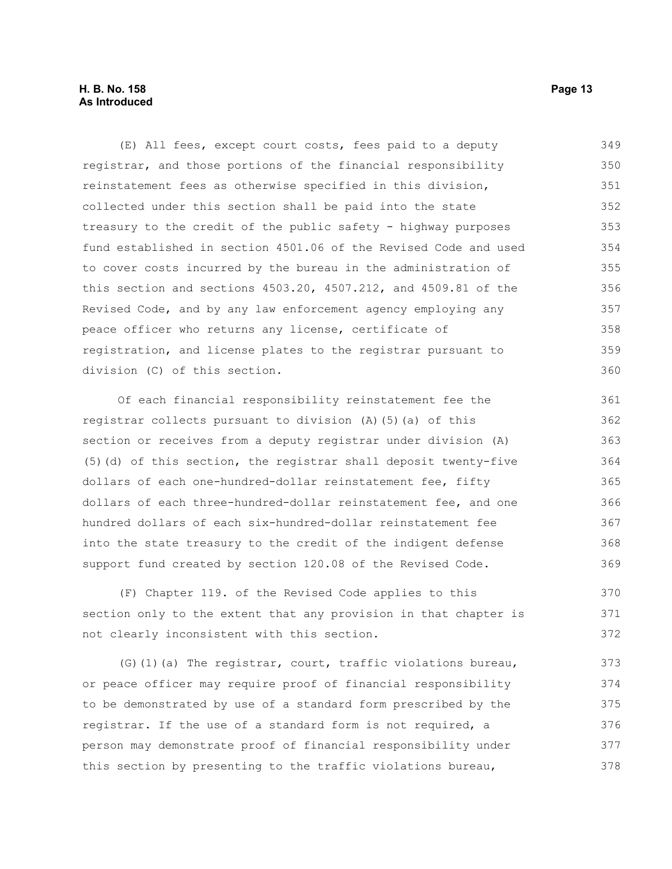#### **H. B. No. 158 Page 13 As Introduced**

(E) All fees, except court costs, fees paid to a deputy registrar, and those portions of the financial responsibility reinstatement fees as otherwise specified in this division, collected under this section shall be paid into the state treasury to the credit of the public safety - highway purposes fund established in section 4501.06 of the Revised Code and used to cover costs incurred by the bureau in the administration of this section and sections 4503.20, 4507.212, and 4509.81 of the Revised Code, and by any law enforcement agency employing any peace officer who returns any license, certificate of registration, and license plates to the registrar pursuant to division (C) of this section. 349 350 351 352 353 354 355 356 357 358 359 360

Of each financial responsibility reinstatement fee the registrar collects pursuant to division (A)(5)(a) of this section or receives from a deputy registrar under division (A) (5)(d) of this section, the registrar shall deposit twenty-five dollars of each one-hundred-dollar reinstatement fee, fifty dollars of each three-hundred-dollar reinstatement fee, and one hundred dollars of each six-hundred-dollar reinstatement fee into the state treasury to the credit of the indigent defense support fund created by section 120.08 of the Revised Code. 361 362 363 364 365 366 367 368 369

(F) Chapter 119. of the Revised Code applies to this section only to the extent that any provision in that chapter is not clearly inconsistent with this section. 370 371 372

(G)(1)(a) The registrar, court, traffic violations bureau, or peace officer may require proof of financial responsibility to be demonstrated by use of a standard form prescribed by the registrar. If the use of a standard form is not required, a person may demonstrate proof of financial responsibility under this section by presenting to the traffic violations bureau, 373 374 375 376 377 378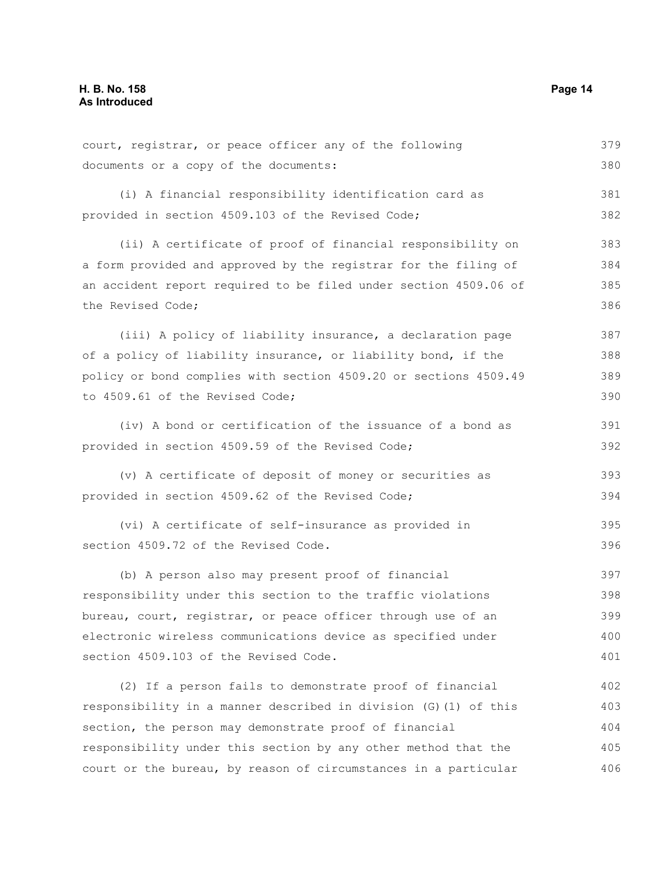| court, registrar, or peace officer any of the following          | 379 |  |
|------------------------------------------------------------------|-----|--|
| documents or a copy of the documents:                            |     |  |
| (i) A financial responsibility identification card as            | 381 |  |
| provided in section 4509.103 of the Revised Code;                |     |  |
| (ii) A certificate of proof of financial responsibility on       | 383 |  |
| a form provided and approved by the registrar for the filing of  | 384 |  |
| an accident report required to be filed under section 4509.06 of |     |  |
| the Revised Code;                                                | 386 |  |
| (iii) A policy of liability insurance, a declaration page        | 387 |  |
| of a policy of liability insurance, or liability bond, if the    | 388 |  |
| policy or bond complies with section 4509.20 or sections 4509.49 | 389 |  |
| to 4509.61 of the Revised Code;                                  | 390 |  |
| (iv) A bond or certification of the issuance of a bond as        | 391 |  |
| provided in section 4509.59 of the Revised Code;                 | 392 |  |
| (v) A certificate of deposit of money or securities as           | 393 |  |
| provided in section 4509.62 of the Revised Code;                 | 394 |  |
| (vi) A certificate of self-insurance as provided in              | 395 |  |
| section 4509.72 of the Revised Code.                             | 396 |  |
| (b) A person also may present proof of financial                 | 397 |  |
| responsibility under this section to the traffic violations      | 398 |  |
| bureau, court, registrar, or peace officer through use of an     | 399 |  |
| electronic wireless communications device as specified under     |     |  |
| section 4509.103 of the Revised Code.                            | 401 |  |
| (2) If a person fails to demonstrate proof of financial          | 402 |  |
| responsibility in a manner described in division (G) (1) of this | 403 |  |
| section, the person may demonstrate proof of financial           | 404 |  |
| responsibility under this section by any other method that the   | 405 |  |
| court or the bureau, by reason of circumstances in a particular  | 406 |  |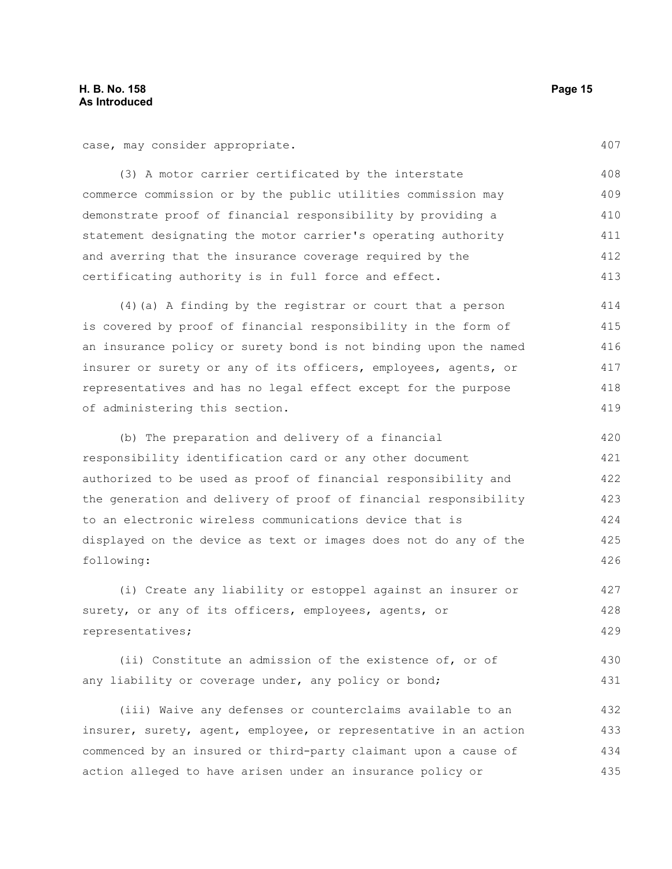case, may consider appropriate.

407

(3) A motor carrier certificated by the interstate commerce commission or by the public utilities commission may demonstrate proof of financial responsibility by providing a statement designating the motor carrier's operating authority and averring that the insurance coverage required by the certificating authority is in full force and effect. 408 409 410 411 412 413

(4)(a) A finding by the registrar or court that a person is covered by proof of financial responsibility in the form of an insurance policy or surety bond is not binding upon the named insurer or surety or any of its officers, employees, agents, or representatives and has no legal effect except for the purpose of administering this section. 414 415 416 417 418 419

(b) The preparation and delivery of a financial responsibility identification card or any other document authorized to be used as proof of financial responsibility and the generation and delivery of proof of financial responsibility to an electronic wireless communications device that is displayed on the device as text or images does not do any of the following: 420 421 422 423 424 425 426

(i) Create any liability or estoppel against an insurer or surety, or any of its officers, employees, agents, or representatives; 427 428 429

(ii) Constitute an admission of the existence of, or of any liability or coverage under, any policy or bond; 430 431

(iii) Waive any defenses or counterclaims available to an insurer, surety, agent, employee, or representative in an action commenced by an insured or third-party claimant upon a cause of action alleged to have arisen under an insurance policy or 432 433 434 435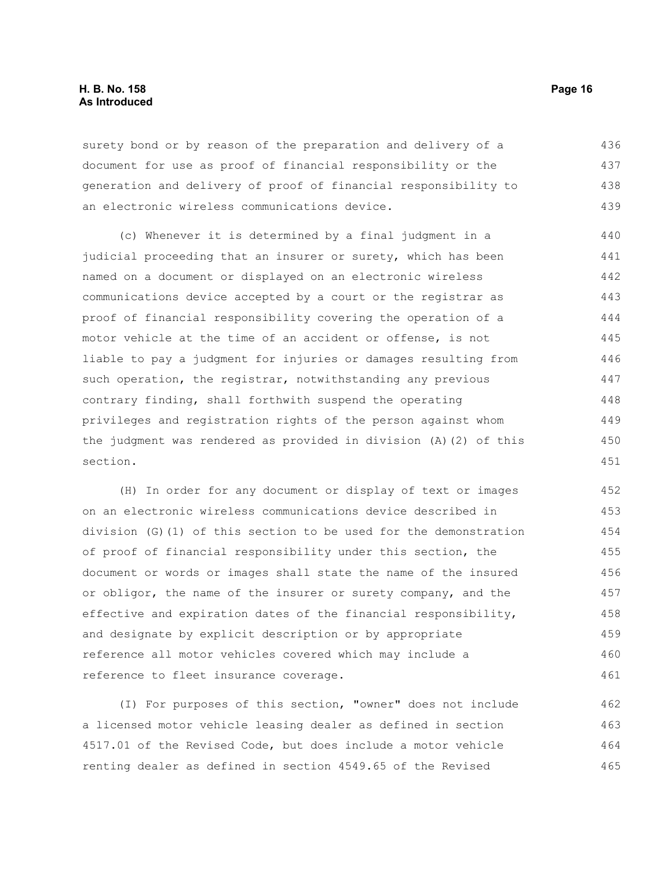#### **H. B. No. 158 Page 16 As Introduced**

surety bond or by reason of the preparation and delivery of a document for use as proof of financial responsibility or the generation and delivery of proof of financial responsibility to an electronic wireless communications device. 436 437 438 439

(c) Whenever it is determined by a final judgment in a judicial proceeding that an insurer or surety, which has been named on a document or displayed on an electronic wireless communications device accepted by a court or the registrar as proof of financial responsibility covering the operation of a motor vehicle at the time of an accident or offense, is not liable to pay a judgment for injuries or damages resulting from such operation, the registrar, notwithstanding any previous contrary finding, shall forthwith suspend the operating privileges and registration rights of the person against whom the judgment was rendered as provided in division (A)(2) of this section. 440 441 442 443 444 445 446 447 448 449 450 451

(H) In order for any document or display of text or images on an electronic wireless communications device described in division (G)(1) of this section to be used for the demonstration of proof of financial responsibility under this section, the document or words or images shall state the name of the insured or obligor, the name of the insurer or surety company, and the effective and expiration dates of the financial responsibility, and designate by explicit description or by appropriate reference all motor vehicles covered which may include a reference to fleet insurance coverage. 452 453 454 455 456 457 458 459 460 461

(I) For purposes of this section, "owner" does not include a licensed motor vehicle leasing dealer as defined in section 4517.01 of the Revised Code, but does include a motor vehicle renting dealer as defined in section 4549.65 of the Revised 462 463 464 465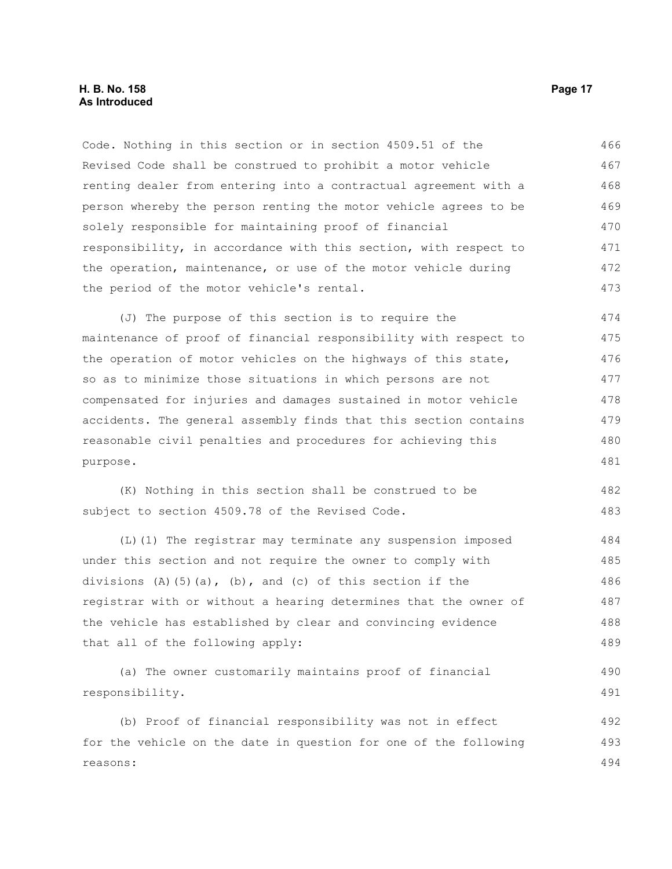#### **H. B. No. 158 Page 17 As Introduced**

purpose.

Code. Nothing in this section or in section 4509.51 of the Revised Code shall be construed to prohibit a motor vehicle renting dealer from entering into a contractual agreement with a person whereby the person renting the motor vehicle agrees to be solely responsible for maintaining proof of financial responsibility, in accordance with this section, with respect to the operation, maintenance, or use of the motor vehicle during the period of the motor vehicle's rental. (J) The purpose of this section is to require the maintenance of proof of financial responsibility with respect to the operation of motor vehicles on the highways of this state, so as to minimize those situations in which persons are not compensated for injuries and damages sustained in motor vehicle accidents. The general assembly finds that this section contains reasonable civil penalties and procedures for achieving this 466 467 468 469 470 471 472 473 474 475 476 477 478 479 480

(K) Nothing in this section shall be construed to be subject to section 4509.78 of the Revised Code. 482 483

(L)(1) The registrar may terminate any suspension imposed under this section and not require the owner to comply with divisions (A)(5)(a), (b), and (c) of this section if the registrar with or without a hearing determines that the owner of the vehicle has established by clear and convincing evidence that all of the following apply: 484 485 486 487 488 489

(a) The owner customarily maintains proof of financial responsibility. 490 491

(b) Proof of financial responsibility was not in effect for the vehicle on the date in question for one of the following reasons: 492 493 494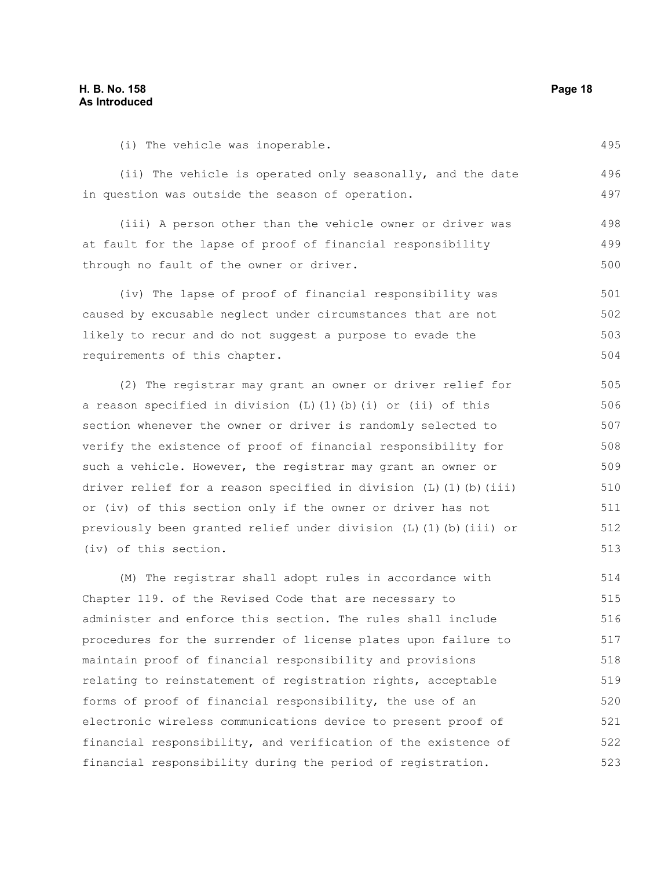#### **H. B. No. 158 Page 18 As Introduced**

495

(i) The vehicle was inoperable.

(ii) The vehicle is operated only seasonally, and the date in question was outside the season of operation. 496 497

(iii) A person other than the vehicle owner or driver was at fault for the lapse of proof of financial responsibility through no fault of the owner or driver. 498 499 500

(iv) The lapse of proof of financial responsibility was caused by excusable neglect under circumstances that are not likely to recur and do not suggest a purpose to evade the requirements of this chapter. 501 502 503 504

(2) The registrar may grant an owner or driver relief for a reason specified in division  $(L)$   $(1)$   $(b)$   $(i)$  or  $(ii)$  of this section whenever the owner or driver is randomly selected to verify the existence of proof of financial responsibility for such a vehicle. However, the registrar may grant an owner or driver relief for a reason specified in division  $(L)$   $(l)$   $(b)$   $(iii)$ or (iv) of this section only if the owner or driver has not previously been granted relief under division (L)(1)(b)(iii) or (iv) of this section.

(M) The registrar shall adopt rules in accordance with Chapter 119. of the Revised Code that are necessary to administer and enforce this section. The rules shall include procedures for the surrender of license plates upon failure to maintain proof of financial responsibility and provisions relating to reinstatement of registration rights, acceptable forms of proof of financial responsibility, the use of an electronic wireless communications device to present proof of financial responsibility, and verification of the existence of financial responsibility during the period of registration. 514 515 516 517 518 519 520 521 522 523